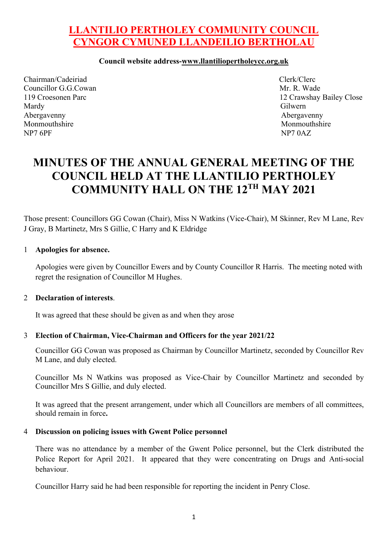## **LLANTILIO PERTHOLEY COMMUNITY COUNCIL CYNGOR CYMUNED LLANDEILIO BERTHOLAU**

#### **Council website address-www.llantiliopertholeycc.org.uk**

Chairman/Cadeiriad Clerk/Clerc Councillor G.G.Cowan Mr. R. Wade Mardy Gilwern Abergavenny Abergavenny Monmouthshire Monmouthshire Monmouthshire Monmouthshire NP7 6PF NP7 0AZ

119 Croesonen Parc 12 Crawshay Bailey Close

# **MINUTES OF THE ANNUAL GENERAL MEETING OF THE COUNCIL HELD AT THE LLANTILIO PERTHOLEY COMMUNITY HALL ON THE 12TH MAY 2021**

Those present: Councillors GG Cowan (Chair), Miss N Watkins (Vice-Chair), M Skinner, Rev M Lane, Rev J Gray, B Martinetz, Mrs S Gillie, C Harry and K Eldridge

#### 1 **Apologies for absence.**

Apologies were given by Councillor Ewers and by County Councillor R Harris. The meeting noted with regret the resignation of Councillor M Hughes.

#### 2 **Declaration of interests**.

It was agreed that these should be given as and when they arose

#### 3 **Election of Chairman, Vice-Chairman and Officers for the year 2021/22**

Councillor GG Cowan was proposed as Chairman by Councillor Martinetz, seconded by Councillor Rev M Lane, and duly elected.

Councillor Ms N Watkins was proposed as Vice-Chair by Councillor Martinetz and seconded by Councillor Mrs S Gillie, and duly elected.

It was agreed that the present arrangement, under which all Councillors are members of all committees, should remain in force**.**

#### 4 **Discussion on policing issues with Gwent Police personnel**

There was no attendance by a member of the Gwent Police personnel, but the Clerk distributed the Police Report for April 2021. It appeared that they were concentrating on Drugs and Anti-social behaviour.

Councillor Harry said he had been responsible for reporting the incident in Penry Close.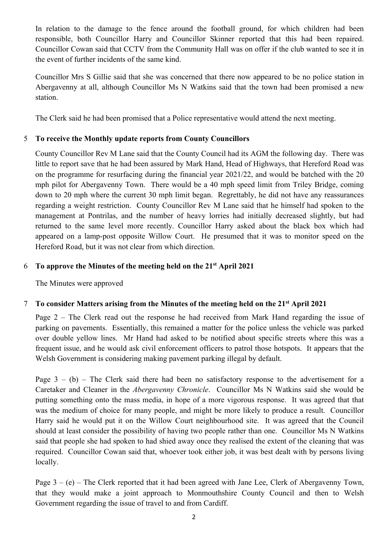In relation to the damage to the fence around the football ground, for which children had been responsible, both Councillor Harry and Councillor Skinner reported that this had been repaired. Councillor Cowan said that CCTV from the Community Hall was on offer if the club wanted to see it in the event of further incidents of the same kind.

Councillor Mrs S Gillie said that she was concerned that there now appeared to be no police station in Abergavenny at all, although Councillor Ms N Watkins said that the town had been promised a new station.

The Clerk said he had been promised that a Police representative would attend the next meeting.

## 5 **To receive the Monthly update reports from County Councillors**

County Councillor Rev M Lane said that the County Council had its AGM the following day. There was little to report save that he had been assured by Mark Hand, Head of Highways, that Hereford Road was on the programme for resurfacing during the financial year 2021/22, and would be batched with the 20 mph pilot for Abergavenny Town. There would be a 40 mph speed limit from Triley Bridge, coming down to 20 mph where the current 30 mph limit began. Regrettably, he did not have any reassurances regarding a weight restriction. County Councillor Rev M Lane said that he himself had spoken to the management at Pontrilas, and the number of heavy lorries had initially decreased slightly, but had returned to the same level more recently. Councillor Harry asked about the black box which had appeared on a lamp-post opposite Willow Court. He presumed that it was to monitor speed on the Hereford Road, but it was not clear from which direction.

## 6 **To approve the Minutes of the meeting held on the 21st April 2021**

The Minutes were approved

## 7 **To consider Matters arising from the Minutes of the meeting held on the 21st April 2021**

Page 2 – The Clerk read out the response he had received from Mark Hand regarding the issue of parking on pavements. Essentially, this remained a matter for the police unless the vehicle was parked over double yellow lines. Mr Hand had asked to be notified about specific streets where this was a frequent issue, and he would ask civil enforcement officers to patrol those hotspots. It appears that the Welsh Government is considering making pavement parking illegal by default.

Page  $3 - (b)$  – The Clerk said there had been no satisfactory response to the advertisement for a Caretaker and Cleaner in the *Abergavenny Chronicle*. Councillor Ms N Watkins said she would be putting something onto the mass media, in hope of a more vigorous response. It was agreed that that was the medium of choice for many people, and might be more likely to produce a result. Councillor Harry said he would put it on the Willow Court neighbourhood site. It was agreed that the Council should at least consider the possibility of having two people rather than one. Councillor Ms N Watkins said that people she had spoken to had shied away once they realised the extent of the cleaning that was required. Councillor Cowan said that, whoever took either job, it was best dealt with by persons living locally.

Page  $3 - (e)$  – The Clerk reported that it had been agreed with Jane Lee, Clerk of Abergavenny Town, that they would make a joint approach to Monmouthshire County Council and then to Welsh Government regarding the issue of travel to and from Cardiff.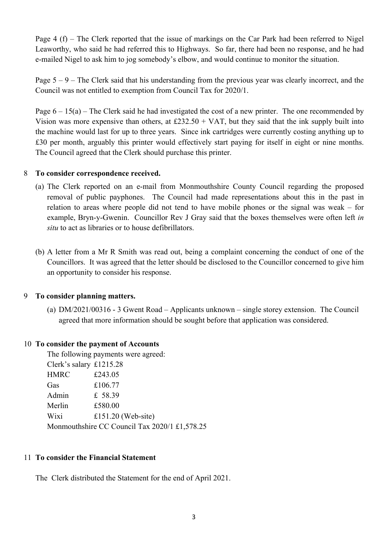Page 4 (f) – The Clerk reported that the issue of markings on the Car Park had been referred to Nigel Leaworthy, who said he had referred this to Highways. So far, there had been no response, and he had e-mailed Nigel to ask him to jog somebody's elbow, and would continue to monitor the situation.

Page  $5 - 9$  – The Clerk said that his understanding from the previous year was clearly incorrect, and the Council was not entitled to exemption from Council Tax for 2020/1.

Page  $6 - 15(a)$  – The Clerk said he had investigated the cost of a new printer. The one recommended by Vision was more expensive than others, at  $£232.50 + VAT$ , but they said that the ink supply built into the machine would last for up to three years. Since ink cartridges were currently costing anything up to £30 per month, arguably this printer would effectively start paying for itself in eight or nine months. The Council agreed that the Clerk should purchase this printer.

#### 8 **To consider correspondence received.**

- (a) The Clerk reported on an e-mail from Monmouthshire County Council regarding the proposed removal of public payphones. The Council had made representations about this in the past in relation to areas where people did not tend to have mobile phones or the signal was weak – for example, Bryn-y-Gwenin. Councillor Rev J Gray said that the boxes themselves were often left *in situ* to act as libraries or to house defibrillators.
- (b) A letter from a Mr R Smith was read out, being a complaint concerning the conduct of one of the Councillors. It was agreed that the letter should be disclosed to the Councillor concerned to give him an opportunity to consider his response.

## 9 **To consider planning matters.**

(a) DM/2021/00316 - 3 Gwent Road – Applicants unknown – single storey extension. The Council agreed that more information should be sought before that application was considered.

#### 10 **To consider the payment of Accounts**

The following payments were agreed: Clerk's salary £1215.28

HMRC £243.05 Gas £106.77 Admin £ 58.39 Merlin £580.00 Wixi  $£151.20$  (Web-site) Monmouthshire CC Council Tax 2020/1 £1,578.25

#### 11 **To consider the Financial Statement**

The Clerk distributed the Statement for the end of April 2021.